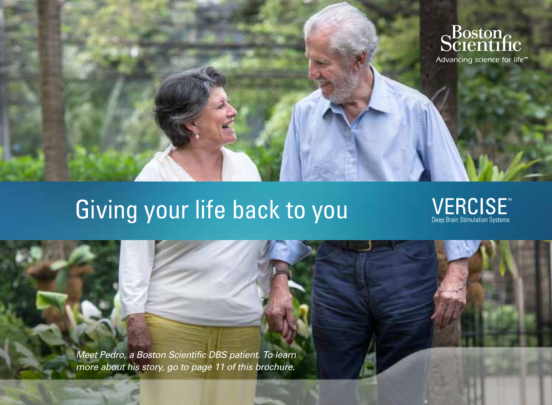

# Giving your life back to you

 $\underset{\text{Deep Brain Stimulation Systems}}{\underbrace{\text{VERCISE}}$ 

*Meet Pedro, a Boston Scientific DBS patient. To learn more about his story, go to page 11 of this brochure.*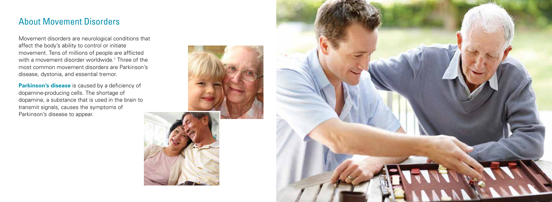### About Movement Disorders

Movement disorders are neurological conditions that affect the body's ability to control or initiate movement. Tens of millions of people are afflicted with a movement disorder worldwide. 1 Three of the most common movement disorders are Parkinson's disease, dystonia, and essential tremor.

**Parkinson's disease** is caused by a deficiency of dopamine-producing cells. The shortage of dopamine, a substance that is used in the brain to transmit signals, causes the symptoms of Parkinson's disease to appear.



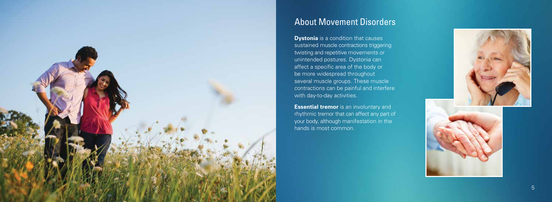

## About Movement Disorders

**Dystonia** is a condition that causes sustained muscle contractions triggering twisting and repetitive movements or unintended postures. Dystonia can affect a specific area of the body or be more widespread throughout several muscle groups. These muscle contractions can be painful and interfere with day-to-day activities.

**Essential tremor** is an involuntary and rhythmic tremor that can affect any part of your body, although manifestation in the hands is most common.

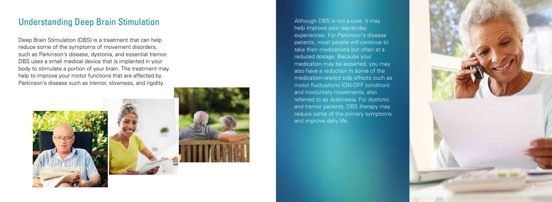### Understanding Deep Brain Stimulation

Deep Brain Stimulation (DBS) is a treatment that can help reduce some of the symptoms of movement disorders, such as Parkinson's disease, dystonia, and essential tremor. DBS uses a small medical device that is implanted in your body to stimulate a portion of your brain. The treatment may help to improve your motor functions that are affected by Parkinson's disease such as tremor, slowness, and rigidity.



Although DBS is not a cure, it may help improve your day-to-day experiences. For Parkinson's disease patients, most people will continue to take their medications but often at a reduced dosage. Because your medication may be lessened, you may also have a reduction in some of the medication-related side effects such as motor fluctuations (ON-OFF condition) and involuntary movements, also referred to as dyskinesia. For dystonic and tremor patients, DBS therapy may reduce some of the primary symptoms and improve daily life.

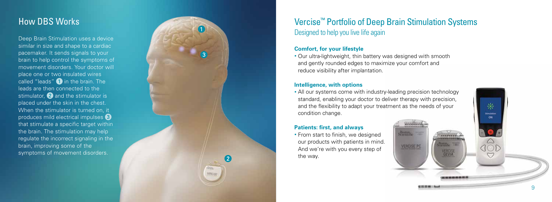### How DBS Works

Deep Brain Stimulation uses a device similar in size and shape to a cardiac pacemaker. It sends signals to your brain to help control the symptoms of movement disorders. Your doctor will place one or two insulated wires called "leads"  $\bigcirc$  in the brain. The leads are then connected to the stimulator,  $\Omega$  and the stimulator is placed under the skin in the chest. When the stimulator is turned on, it produces mild electrical impulses 3 that stimulate a specific target within the brain. The stimulation may help regulate the incorrect signaling in the brain, improving some of the symptoms of movement disorders.



 $\partial \Sigma_{\rm BB}$ VERCISE • All our systems come with industry-leading precision technology standard, enabling your doctor to deliver therapy with precision, and the flexibility to adapt your treatment as the needs of your condition change.

Hoston.<br>Scanntific

**VERCISE PC** 

9

亲 **Schulation** ON.

### **Patients: first, and always**

• From start to finish, we designed our products with patients in mind. And we're with you every step of the way.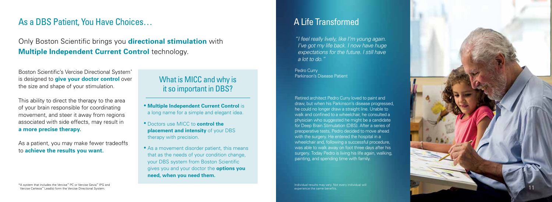### As a DBS Patient, You Have Choices…

Only Boston Scientific brings you **directional stimulation** with **Multiple Independent Current Control** *technology***.** 

Boston Scientific's Vercise Directional System \* is designed to **give your doctor control** over the size and shape of your stimulation.

This ability to direct the therapy to the area of your brain responsible for coordinating movement, and steer it away from regions associated with side effects, may result in **a more precise therapy.**

As a patient, you may make fewer tradeoffs to **achieve the results you want.**

### What is MICC and why is it so important in DBS?

- **Multiple Independent Current Control** is a long name for a simple and elegant idea.
- Doctors use MICC to **control the placement and intensity** of your DBS therapy with precision.
- As a movement disorder patient, this means that as the needs of your condition change, your DBS system from Boston Scientific gives you and your doctor the **options you need, when you need them.**

## A Life Transformed

*"I feel really lively, like I'm young again. I've got my life back. I now have huge expectations for the future. I still have a lot to do."*

Pedro Curry Parkinson's Disease Patient

Retired architect Pedro Curry loved to paint and draw, but when his Parkinson's disease progressed, he could no longer draw a straight line. Unable to walk and confined to a wheelchair, he consulted a physician who suggested he might be a candidate for Deep Brain Stimulation (DBS). After a series of preoperative tests, Pedro decided to move ahead with the surgery. He entered the hospital in a wheelchair and, following a successful procedure, was able to walk away on foot three days after his surgery. Today Pedro is living his life again, walking, painting, and spending time with family.

Individual results may vary. Not every individual will experience the same benefits.

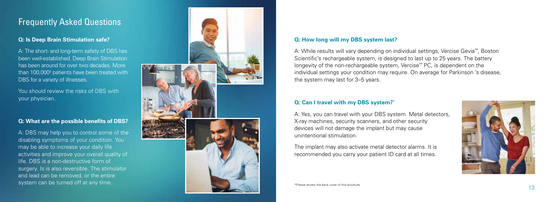### Frequently Asked Questions

#### **Q: Is Deep Brain Stimulation safe?**

A: The short- and long-term safety of DBS has been well-established. Deep Brain Stimulation has been around for over two decades. More than 100,000<sup>2</sup> patients have been treated with DBS for a variety of illnesses.

You should review the risks of DBS with your physician.

### **Q: What are the possible benefits of DBS?**

A: DBS may help you to control some of the disabling symptoms of your condition. You may be able to increase your daily life activities and improve your overall quality of life. DBS is a non-destructive form of surgery. Is is also reversible. The stimulator and lead can be removed, or the entire



#### **Q: How long will my DBS system last?**

A: While results will vary depending on individual settings, Vercise Gevia ™, Boston Scientific's rechargeable system, is designed to last up to 25 years. The battery longevity of the non-rechargeable system, Vercise ™ PC, is dependent on the individual settings your condition may require. On average for Parkinson 's disease, the system may last for 3–5 years.

#### **Q: Can I travel with my DBS system? \***

A: Yes, you can travel with your DBS system. Metal detectors, X-ray machines, security scanners, and other security devices will not damage the implant but may cause unintentional stimulation.

The implant may also activate metal detector alarms. It is recommended you carry your patient ID card at all times.



\*Please review the back cover of this brochure.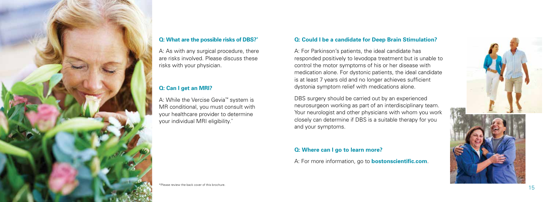

### **Q: What are the possible risks of DBS?\***

A: As with any surgical procedure, there are risks involved. Please discuss these risks with your physician.

### **Q: Can I get an MRI?**

A: While the Vercise Gevia™ system is MR conditional, you must consult with your healthcare provider to determine your individual MRI eligibility.\*

#### **Q: Could I be a candidate for Deep Brain Stimulation?**

A: For Parkinson's patients, the ideal candidate has responded positively to levodopa treatment but is unable to control the motor symptoms of his or her disease with medication alone. For dystonic patients, the ideal candidate is at least 7 years old and no longer achieves sufficient dystonia symptom relief with medications alone.

DBS surgery should be carried out by an experienced neurosurgeon working as part of an interdisciplinary team. Your neurologist and other physicians with whom you work closely can determine if DBS is a suitable therapy for you and your symptoms.

#### **Q: Where can I go to learn more?**

A: For more information, go to **bostonscientific.com**.



\*Please review the back cover of this brochure.